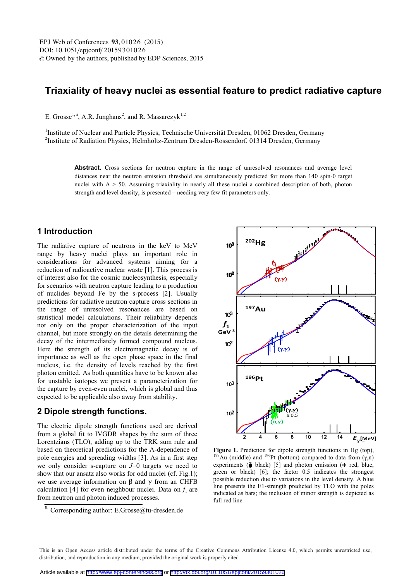# **Triaxiality of heavy nuclei as essential feature to predict radiative capture**

E. Grosse<sup>1, a</sup>, A.R. Junghans<sup>2</sup>, and R. Massarczyk<sup>1,2</sup>

<sup>1</sup>Institute of Nuclear and Particle Physics, Technische Universität Dresden, 01062 Dresden, Germany <sup>2</sup>Institute of Radiation Physics, Helmholtz-Zentrum Dresden-Rossendorf, 01314 Dresden, Germany

> **Abstract.** Cross sections for neutron capture in the range of unresolved resonances and average level distances near the neutron emission threshold are simultaneously predicted for more than 140 spin-0 target nuclei with  $A > 50$ . Assuming triaxiality in nearly all these nuclei a combined description of both, photon strength and level density, is presented – needing very few fit parameters only.

# **1 Introduction**

The radiative capture of neutrons in the keV to MeV range by heavy nuclei plays an important role in considerations for advanced systems aiming for a reduction of radioactive nuclear waste [1]. This process is of interest also for the cosmic nucleosynthesis, especially for scenarios with neutron capture leading to a production of nuclides beyond Fe by the s-process [2]. Usually predictions for radiative neutron capture cross sections in the range of unresolved resonances are based on statistical model calculations. Their reliability depends not only on the proper characterization of the input channel, but more strongly on the details determining the decay of the intermediately formed compound nucleus. Here the strength of its electromagnetic decay is of importance as well as the open phase space in the final nucleus, i.e. the density of levels reached by the first photon emitted. As both quantities have to be known also for unstable isotopes we present a parameterization for the capture by even-even nuclei, which is global and thus expected to be applicable also away from stability.

### **2 Dipole strength functions.**

The electric dipole strength functions used are derived from a global fit to IVGDR shapes by the sum of three Lorentzians (TLO), adding up to the TRK sum rule and based on theoretical predictions for the A-dependence of pole energies and spreading widths [3]. As in a first step we only consider s-capture on *J*=0 targets we need to show that our ansatz also works for odd nuclei (cf. Fig.1); we use average information on β and  $γ$  from an CHFB calculation [4] for even neighbour nuclei. Data on  $f_1$  are from neutron and photon induced processes.



**Figure 1.** Prediction for dipole strength functions in Hg (top),  $197\text{Au}$  (middle) and  $196\text{Pt}$  (bottom) compared to data from (γ,n) experiments ( $\bar{\psi}$  black) [5] and photon emission ( $\pm$  red, blue, green or black) [6]; the factor 0.5 indicates the strongest possible reduction due to variations in the level density. A blue line presents the E1-strength predicted by TLO with the poles indicated as bars; the inclusion of minor strength is depicted as full red line.

This is an Open Access article distributed under the terms of the Creative Commons Attribution License 4.0, which permits unrestricted use. distribution, and reproduction in any medium, provided the original work is properly cited.

a Corresponding author: E.Grosse@tu-dresden.de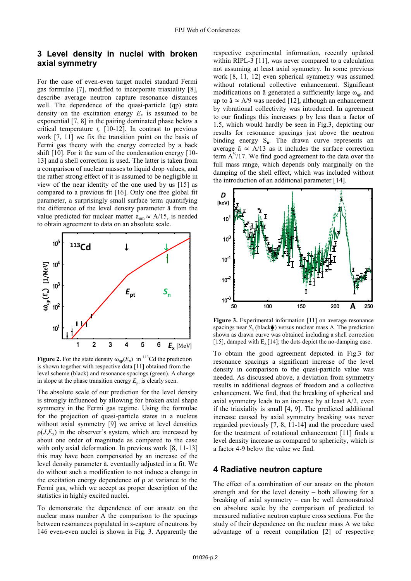# **3 Level density in nuclei with broken axial symmetry**

For the case of even-even target nuclei standard Fermi gas formulae [7], modified to incorporate triaxiality [8], describe average neutron capture resonance distances well. The dependence of the quasi-particle (qp) state density on the excitation energy  $E_x$  is assumed to be exponential [7, 8] in the pairing dominated phase below a critical temperature  $t_c$  [10-12]. In contrast to previous work [7, 11] we fix the transition point on the basis of Fermi gas theory with the energy corrected by a back shift [10]. For it the sum of the condensation energy [10- 13] and a shell correction is used. The latter is taken from a comparison of nuclear masses to liquid drop values, and the rather strong effect of it is assumed to be negligible in view of the near identity of the one used by us [15] as compared to a previous fit [16]. Only one free global fit parameter, a surprisingly small surface term quantifying the difference of the level density parameter ã from the value predicted for nuclear matter  $a_{nm} \approx A/15$ , is needed to obtain agreement to data on an absolute scale.



**Figure 2.** For the state density  $\omega_{qp}(E_x)$  in <sup>113</sup>Cd the prediction is shown together with respective data [11] obtained from the level scheme (black) and resonance spacings (green). A change in slope at the phase transition energy  $E_{pt}$  is clearly seen.

The absolute scale of our prediction for the level density is strongly influenced by allowing for broken axial shape symmetry in the Fermi gas regime. Using the formulae for the projection of quasi-particle states in a nucleus without axial symmetry [9] we arrive at level densities  $\rho(J,E_x)$  in the observer's system, which are increased by about one order of magnitude as compared to the case with only axial deformation. In previous work [8, 11-13] this may have been compensated by an increase of the level density parameter ã, eventually adjusted in a fit. We do without such a modification to not induce a change in the excitation energy dependence of ρ at variance to the Fermi gas, which we accept as proper description of the statistics in highly excited nuclei.

To demonstrate the dependence of our ansatz on the nuclear mass number A the comparison to the spacings between resonances populated in s-capture of neutrons by 146 even-even nuclei is shown in Fig. 3. Apparently the

respective experimental information, recently updated within RIPL-3 [11], was never compared to a calculation not assuming at least axial symmetry. In some previous work [8, 11, 12] even spherical symmetry was assumed without rotational collective enhancement. Significant modifications on ã generated a sufficiently large  $\omega_{\text{qp}}$  and up to  $\tilde{a} \approx A/9$  was needed [12], although an enhancement by vibrational collectivity was introduced. In agreement to our findings this increases ρ by less than a factor of 1.5, which would hardly be seen in Fig.3, depicting our results for resonance spacings just above the neutron binding energy  $S_n$ . The drawn curve represents an average  $\tilde{a} \approx A/13$  as it includes the surface correction term  $A^{3/2}/17$ . We find good agreement to the data over the full mass range, which depends only marginally on the damping of the shell effect, which was included without the introduction of an additional parameter [14].



**Figure 3.** Experimental information [11] on average resonance spacings near  $S_n$  (black $\bar{\bullet}$ ) versus nuclear mass A. The prediction shown as drawn curve was obtained including a shell correction [15], damped with  $E_x$  [14]; the dots depict the no-damping case.

To obtain the good agreement depicted in Fig.3 for resonance spacings a significant increase of the level density in comparison to the quasi-particle value was needed. As discussed above, a deviation from symmetry results in additional degrees of freedom and a collective enhancement. We find, that the breaking of spherical and axial symmetry leads to an increase by at least A/2, even if the triaxiality is small [4, 9]. The predicted additional increase caused by axial symmetry breaking was never regarded previously [7, 8, 11-14] and the procedure used for the treatment of rotational enhancement [11] finds a level density increase as compared to sphericity, which is a factor 4-9 below the value we find.

#### **4 Radiative neutron capture**

The effect of a combination of our ansatz on the photon strength and for the level density – both allowing for a breaking of axial symmetry – can be well demonstrated on absolute scale by the comparison of predicted to measured radiative neutron capture cross sections. For the study of their dependence on the nuclear mass A we take advantage of a recent compilation [2] of respective